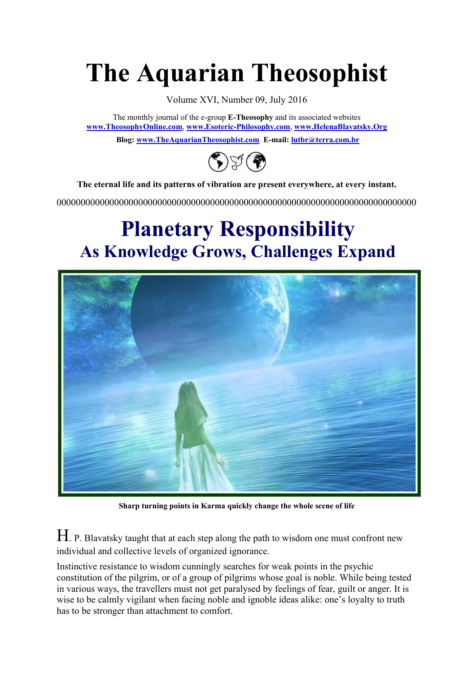# **The Aquarian Theosophist**

Volume XVI, Number 09, July 2016

The monthly journal of the e-group **E-Theosophy** and its associated websites **[www.TheosophyOnline.com](http://www.theosophyonline.com/)**, **www.Esoteric-Philosophy.com**, **[www.HelenaBlavatsky.Org](http://www.helenablavatsky.org/) Blog[: www.TheAquarianTheosophist.com](http://www.theaquariantheosophist.com/) E-mail: [lutbr@terra.com.br](mailto:lutbr@terra.com.br)**



**The eternal life and its patterns of vibration are present everywhere, at every instant.** 

000000000000000000000000000000000000000000000000000000000000000000000000000

#### **Planetary Responsibility As Knowledge Grows, Challenges Expand**



**Sharp turning points in Karma quickly change the whole scene of life**

H. P. Blavatsky taught that at each step along the path to wisdom one must confront new individual and collective levels of organized ignorance.

Instinctive resistance to wisdom cunningly searches for weak points in the psychic constitution of the pilgrim, or of a group of pilgrims whose goal is noble. While being tested in various ways, the travellers must not get paralysed by feelings of fear, guilt or anger. It is wise to be calmly vigilant when facing noble and ignoble ideas alike: one's loyalty to truth has to be stronger than attachment to comfort.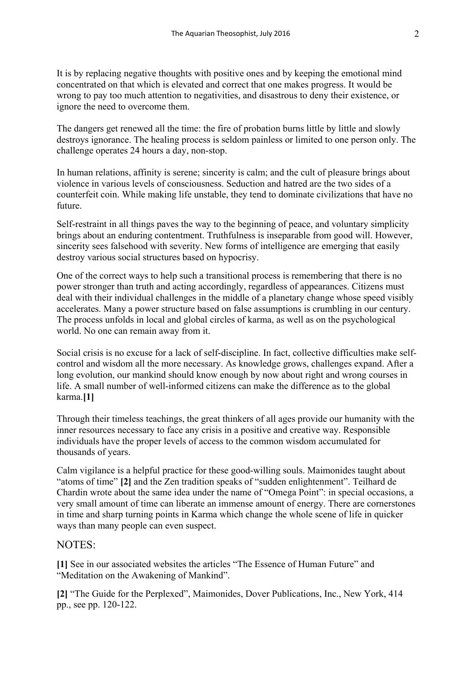It is by replacing negative thoughts with positive ones and by keeping the emotional mind concentrated on that which is elevated and correct that one makes progress. It would be wrong to pay too much attention to negativities, and disastrous to deny their existence, or ignore the need to overcome them.

The dangers get renewed all the time: the fire of probation burns little by little and slowly destroys ignorance. The healing process is seldom painless or limited to one person only. The challenge operates 24 hours a day, non-stop.

In human relations, affinity is serene; sincerity is calm; and the cult of pleasure brings about violence in various levels of consciousness. Seduction and hatred are the two sides of a counterfeit coin. While making life unstable, they tend to dominate civilizations that have no future.

Self-restraint in all things paves the way to the beginning of peace, and voluntary simplicity brings about an enduring contentment. Truthfulness is inseparable from good will. However, sincerity sees falsehood with severity. New forms of intelligence are emerging that easily destroy various social structures based on hypocrisy.

One of the correct ways to help such a transitional process is remembering that there is no power stronger than truth and acting accordingly, regardless of appearances. Citizens must deal with their individual challenges in the middle of a planetary change whose speed visibly accelerates. Many a power structure based on false assumptions is crumbling in our century. The process unfolds in local and global circles of karma, as well as on the psychological world. No one can remain away from it.

Social crisis is no excuse for a lack of self-discipline. In fact, collective difficulties make selfcontrol and wisdom all the more necessary. As knowledge grows, challenges expand. After a long evolution, our mankind should know enough by now about right and wrong courses in life. A small number of well-informed citizens can make the difference as to the global karma.**[1]**

Through their timeless teachings, the great thinkers of all ages provide our humanity with the inner resources necessary to face any crisis in a positive and creative way. Responsible individuals have the proper levels of access to the common wisdom accumulated for thousands of years.

Calm vigilance is a helpful practice for these good-willing souls. Maimonides taught about "atoms of time" **[2]** and the Zen tradition speaks of "sudden enlightenment". Teilhard de Chardin wrote about the same idea under the name of "Omega Point": in special occasions, a very small amount of time can liberate an immense amount of energy. There are cornerstones in time and sharp turning points in Karma which change the whole scene of life in quicker ways than many people can even suspect.

#### NOTES:

**[1]** See in our associated websites the articles "The Essence of Human Future" and "Meditation on the Awakening of Mankind".

**[2]** "The Guide for the Perplexed", Maimonides, Dover Publications, Inc., New York, 414 pp., see pp. 120-122.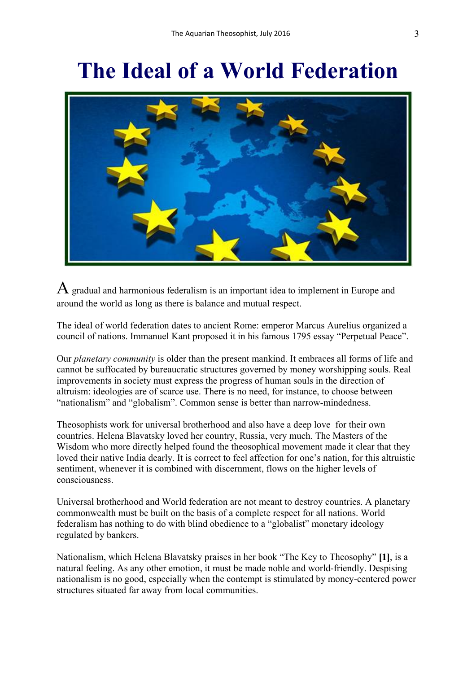### **The Ideal of a World Federation**



 $\overline{A}$  gradual and harmonious federalism is an important idea to implement in Europe and around the world as long as there is balance and mutual respect.

The ideal of world federation dates to ancient Rome: emperor Marcus Aurelius organized a council of nations. Immanuel Kant proposed it in his famous 1795 essay "Perpetual Peace".

Our *planetary community* is older than the present mankind. It embraces all forms of life and cannot be suffocated by bureaucratic structures governed by money worshipping souls. Real improvements in society must express the progress of human souls in the direction of altruism: ideologies are of scarce use. There is no need, for instance, to choose between "nationalism" and "globalism". Common sense is better than narrow-mindedness.

Theosophists work for universal brotherhood and also have a deep love for their own countries. Helena Blavatsky loved her country, Russia, very much. The Masters of the Wisdom who more directly helped found the theosophical movement made it clear that they loved their native India dearly. It is correct to feel affection for one's nation, for this altruistic sentiment, whenever it is combined with discernment, flows on the higher levels of consciousness.

Universal brotherhood and World federation are not meant to destroy countries. A planetary commonwealth must be built on the basis of a complete respect for all nations. World federalism has nothing to do with blind obedience to a "globalist" monetary ideology regulated by bankers.

Nationalism, which Helena Blavatsky praises in her book "The Key to Theosophy" **[1]**, is a natural feeling. As any other emotion, it must be made noble and world-friendly. Despising nationalism is no good, especially when the contempt is stimulated by money-centered power structures situated far away from local communities.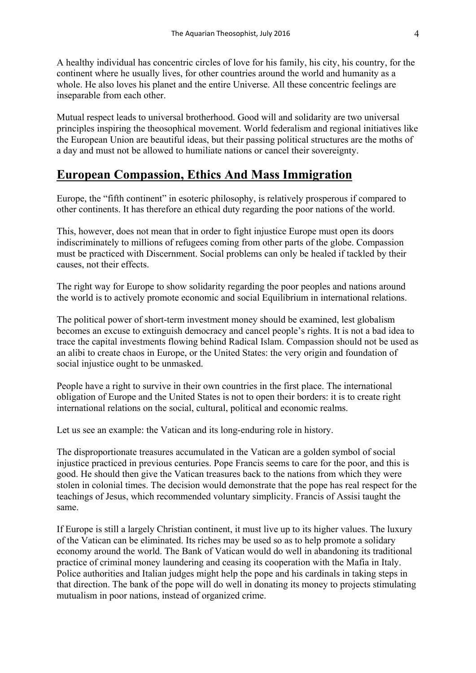A healthy individual has concentric circles of love for his family, his city, his country, for the continent where he usually lives, for other countries around the world and humanity as a whole. He also loves his planet and the entire Universe. All these concentric feelings are inseparable from each other.

Mutual respect leads to universal brotherhood. Good will and solidarity are two universal principles inspiring the theosophical movement. World federalism and regional initiatives like the European Union are beautiful ideas, but their passing political structures are the moths of a day and must not be allowed to humiliate nations or cancel their sovereignty.

#### **European Compassion, Ethics And Mass Immigration**

Europe, the "fifth continent" in esoteric philosophy, is relatively prosperous if compared to other continents. It has therefore an ethical duty regarding the poor nations of the world.

This, however, does not mean that in order to fight injustice Europe must open its doors indiscriminately to millions of refugees coming from other parts of the globe. Compassion must be practiced with Discernment. Social problems can only be healed if tackled by their causes, not their effects.

The right way for Europe to show solidarity regarding the poor peoples and nations around the world is to actively promote economic and social Equilibrium in international relations.

The political power of short-term investment money should be examined, lest globalism becomes an excuse to extinguish democracy and cancel people's rights. It is not a bad idea to trace the capital investments flowing behind Radical Islam. Compassion should not be used as an alibi to create chaos in Europe, or the United States: the very origin and foundation of social injustice ought to be unmasked.

People have a right to survive in their own countries in the first place. The international obligation of Europe and the United States is not to open their borders: it is to create right international relations on the social, cultural, political and economic realms.

Let us see an example: the Vatican and its long-enduring role in history.

The disproportionate treasures accumulated in the Vatican are a golden symbol of social injustice practiced in previous centuries. Pope Francis seems to care for the poor, and this is good. He should then give the Vatican treasures back to the nations from which they were stolen in colonial times. The decision would demonstrate that the pope has real respect for the teachings of Jesus, which recommended voluntary simplicity. Francis of Assisi taught the same.

If Europe is still a largely Christian continent, it must live up to its higher values. The luxury of the Vatican can be eliminated. Its riches may be used so as to help promote a solidary economy around the world. The Bank of Vatican would do well in abandoning its traditional practice of criminal money laundering and ceasing its cooperation with the Mafia in Italy. Police authorities and Italian judges might help the pope and his cardinals in taking steps in that direction. The bank of the pope will do well in donating its money to projects stimulating mutualism in poor nations, instead of organized crime.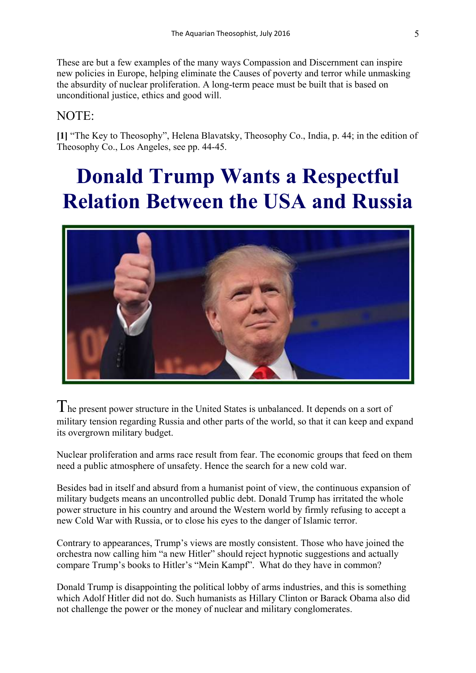These are but a few examples of the many ways Compassion and Discernment can inspire new policies in Europe, helping eliminate the Causes of poverty and terror while unmasking the absurdity of nuclear proliferation. A long-term peace must be built that is based on unconditional justice, ethics and good will.

#### NOTE:

**[1]** "The Key to Theosophy", Helena Blavatsky, Theosophy Co., India, p. 44; in the edition of Theosophy Co., Los Angeles, see pp. 44-45.

### **Donald Trump Wants a Respectful Relation Between the USA and Russia**



The present power structure in the United States is unbalanced. It depends on a sort of military tension regarding Russia and other parts of the world, so that it can keep and expand its overgrown military budget.

Nuclear proliferation and arms race result from fear. The economic groups that feed on them need a public atmosphere of unsafety. Hence the search for a new cold war.

Besides bad in itself and absurd from a humanist point of view, the continuous expansion of military budgets means an uncontrolled public debt. Donald Trump has irritated the whole power structure in his country and around the Western world by firmly refusing to accept a new Cold War with Russia, or to close his eyes to the danger of Islamic terror.

Contrary to appearances, Trump's views are mostly consistent. Those who have joined the orchestra now calling him "a new Hitler" should reject hypnotic suggestions and actually compare Trump's books to Hitler's "Mein Kampf". What do they have in common?

Donald Trump is disappointing the political lobby of arms industries, and this is something which Adolf Hitler did not do. Such humanists as Hillary Clinton or Barack Obama also did not challenge the power or the money of nuclear and military conglomerates.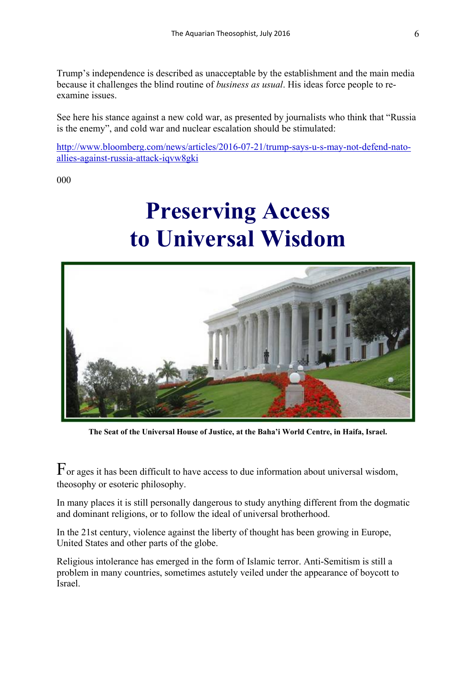Trump's independence is described as unacceptable by the establishment and the main media because it challenges the blind routine of *business as usual*. His ideas force people to reexamine issues.

See here his stance against a new cold war, as presented by journalists who think that "Russia is the enemy", and cold war and nuclear escalation should be stimulated:

[http://www.bloomberg.com/news/articles/2016-07-21/trump-says-u-s-may-not-defend-nato](http://www.bloomberg.com/news/articles/2016-07-21/trump-says-u-s-may-not-defend-nato-allies-against-russia-attack-iqvw8gki)[allies-against-russia-attack-iqvw8gki](http://www.bloomberg.com/news/articles/2016-07-21/trump-says-u-s-may-not-defend-nato-allies-against-russia-attack-iqvw8gki)

000

# **Preserving Access to Universal Wisdom**



**The Seat of the Universal House of Justice, at the Baha'i World Centre, in Haifa, Israel.**

 $F_{\text{or ages}}$  it has been difficult to have access to due information about universal wisdom, theosophy or esoteric philosophy.

In many places it is still personally dangerous to study anything different from the dogmatic and dominant religions, or to follow the ideal of universal brotherhood.

In the 21st century, violence against the liberty of thought has been growing in Europe, United States and other parts of the globe.

Religious intolerance has emerged in the form of Islamic terror. Anti-Semitism is still a problem in many countries, sometimes astutely veiled under the appearance of boycott to Israel.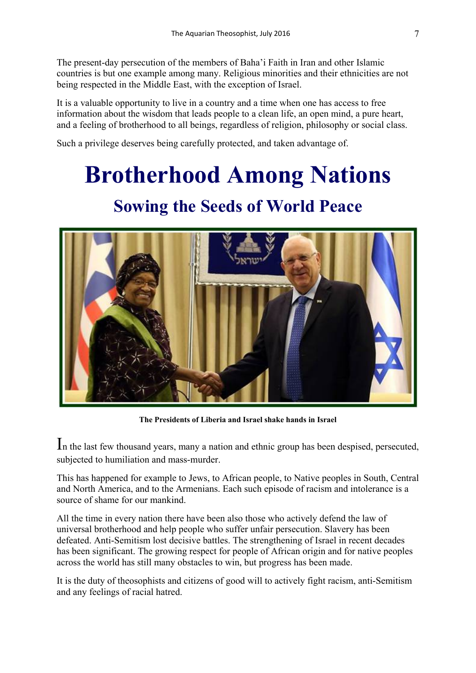The present-day persecution of the members of Baha'i Faith in Iran and other Islamic countries is but one example among many. Religious minorities and their ethnicities are not being respected in the Middle East, with the exception of Israel.

It is a valuable opportunity to live in a country and a time when one has access to free information about the wisdom that leads people to a clean life, an open mind, a pure heart, and a feeling of brotherhood to all beings, regardless of religion, philosophy or social class.

Such a privilege deserves being carefully protected, and taken advantage of.

# **Brotherhood Among Nations**

#### **Sowing the Seeds of World Peace**



**The Presidents of Liberia and Israel shake hands in Israel**

In the last few thousand years, many a nation and ethnic group has been despised, persecuted, subjected to humiliation and mass-murder.

This has happened for example to Jews, to African people, to Native peoples in South, Central and North America, and to the Armenians. Each such episode of racism and intolerance is a source of shame for our mankind.

All the time in every nation there have been also those who actively defend the law of universal brotherhood and help people who suffer unfair persecution. Slavery has been defeated. Anti-Semitism lost decisive battles. The strengthening of Israel in recent decades has been significant. The growing respect for people of African origin and for native peoples across the world has still many obstacles to win, but progress has been made.

It is the duty of theosophists and citizens of good will to actively fight racism, anti-Semitism and any feelings of racial hatred.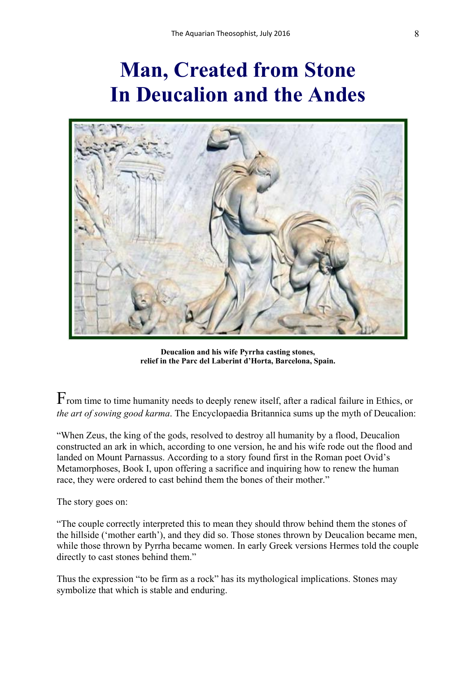### **Man, Created from Stone In Deucalion and the Andes**



**Deucalion and his wife Pyrrha casting stones, relief in the Parc del Laberint d'Horta, Barcelona, Spain.**

 $F$ rom time to time humanity needs to deeply renew itself, after a radical failure in Ethics, or *the art of sowing good karma*. The Encyclopaedia Britannica sums up the myth of Deucalion:

"When Zeus, the king of the gods, resolved to destroy all humanity by a flood, Deucalion constructed an ark in which, according to one version, he and his wife rode out the flood and landed on Mount Parnassus. According to a story found first in the Roman poet Ovid's Metamorphoses, Book I, upon offering a sacrifice and inquiring how to renew the human race, they were ordered to cast behind them the bones of their mother."

The story goes on:

"The couple correctly interpreted this to mean they should throw behind them the stones of the hillside ('mother earth'), and they did so. Those stones thrown by Deucalion became men, while those thrown by Pyrrha became women. In early Greek versions Hermes told the couple directly to cast stones behind them."

Thus the expression "to be firm as a rock" has its mythological implications. Stones may symbolize that which is stable and enduring.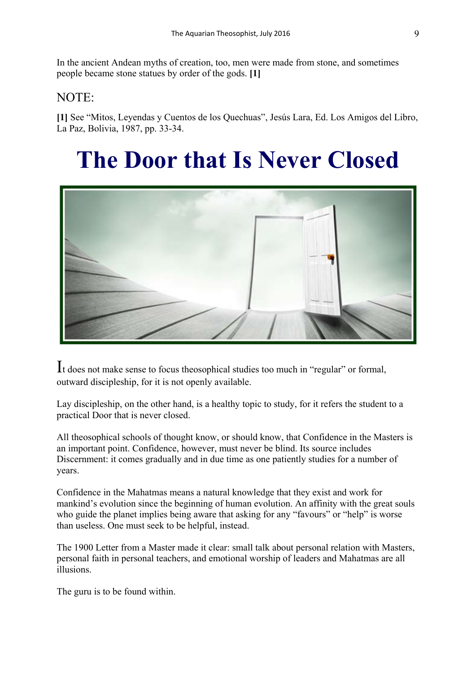In the ancient Andean myths of creation, too, men were made from stone, and sometimes people became stone statues by order of the gods. **[1]**

#### NOTE:

**[1]** See "Mitos, Leyendas y Cuentos de los Quechuas", Jesús Lara, Ed. Los Amigos del Libro, La Paz, Bolivia, 1987, pp. 33-34.

# **The Door that Is Never Closed**



It does not make sense to focus theosophical studies too much in "regular" or formal, outward discipleship, for it is not openly available.

Lay discipleship, on the other hand, is a healthy topic to study, for it refers the student to a practical Door that is never closed.

All theosophical schools of thought know, or should know, that Confidence in the Masters is an important point. Confidence, however, must never be blind. Its source includes Discernment: it comes gradually and in due time as one patiently studies for a number of years.

Confidence in the Mahatmas means a natural knowledge that they exist and work for mankind's evolution since the beginning of human evolution. An affinity with the great souls who guide the planet implies being aware that asking for any "favours" or "help" is worse than useless. One must seek to be helpful, instead.

The 1900 Letter from a Master made it clear: small talk about personal relation with Masters, personal faith in personal teachers, and emotional worship of leaders and Mahatmas are all illusions.

The guru is to be found within.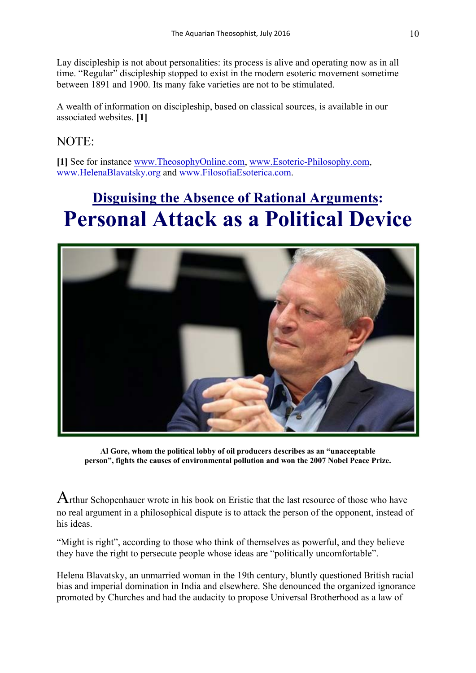Lay discipleship is not about personalities: its process is alive and operating now as in all time. "Regular" discipleship stopped to exist in the modern esoteric movement sometime between 1891 and 1900. Its many fake varieties are not to be stimulated.

A wealth of information on discipleship, based on classical sources, is available in our associated websites. **[1]**

#### NOTE:

**[1]** See for instance [www.TheosophyOnline.com,](http://www.theosophyonline.com/) [www.Esoteric-Philosophy.com,](http://www.esoteric-philosophy.com/) [www.HelenaBlavatsky.org](http://www.helenablavatsky.org/) and [www.FilosofiaEsoterica.com.](http://www.filosofiaesoterica.com/)

#### **Disguising the Absence of Rational Arguments: Personal Attack as a Political Device**



**Al Gore, whom the political lobby of oil producers describes as an "unacceptable person", fights the causes of environmental pollution and won the 2007 Nobel Peace Prize.**

Arthur Schopenhauer wrote in his book on Eristic that the last resource of those who have no real argument in a philosophical dispute is to attack the person of the opponent, instead of his ideas.

"Might is right", according to those who think of themselves as powerful, and they believe they have the right to persecute people whose ideas are "politically uncomfortable".

Helena Blavatsky, an unmarried woman in the 19th century, bluntly questioned British racial bias and imperial domination in India and elsewhere. She denounced the organized ignorance promoted by Churches and had the audacity to propose Universal Brotherhood as a law of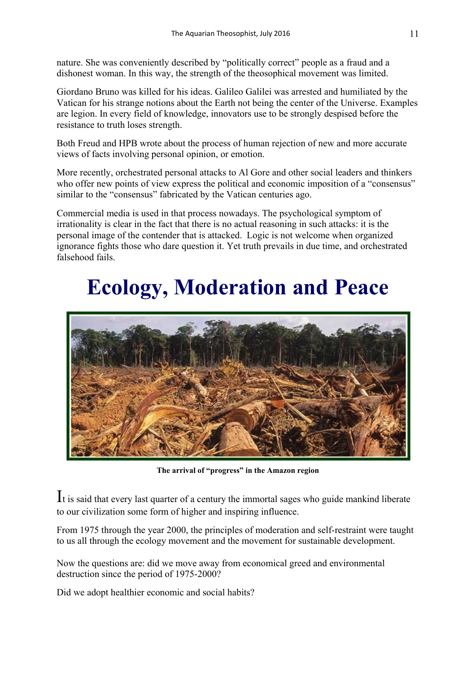nature. She was conveniently described by "politically correct" people as a fraud and a dishonest woman. In this way, the strength of the theosophical movement was limited.

Giordano Bruno was killed for his ideas. Galileo Galilei was arrested and humiliated by the Vatican for his strange notions about the Earth not being the center of the Universe. Examples are legion. In every field of knowledge, innovators use to be strongly despised before the resistance to truth loses strength.

Both Freud and HPB wrote about the process of human rejection of new and more accurate views of facts involving personal opinion, or emotion.

More recently, orchestrated personal attacks to Al Gore and other social leaders and thinkers who offer new points of view express the political and economic imposition of a "consensus" similar to the "consensus" fabricated by the Vatican centuries ago.

Commercial media is used in that process nowadays. The psychological symptom of irrationality is clear in the fact that there is no actual reasoning in such attacks: it is the personal image of the contender that is attacked. Logic is not welcome when organized ignorance fights those who dare question it. Yet truth prevails in due time, and orchestrated falsehood fails.

### **Ecology, Moderation and Peace**



**The arrival of "progress" in the Amazon region**

It is said that every last quarter of a century the immortal sages who guide mankind liberate to our civilization some form of higher and inspiring influence.

From 1975 through the year 2000, the principles of moderation and self-restraint were taught to us all through the ecology movement and the movement for sustainable development.

Now the questions are: did we move away from economical greed and environmental destruction since the period of 1975-2000?

Did we adopt healthier economic and social habits?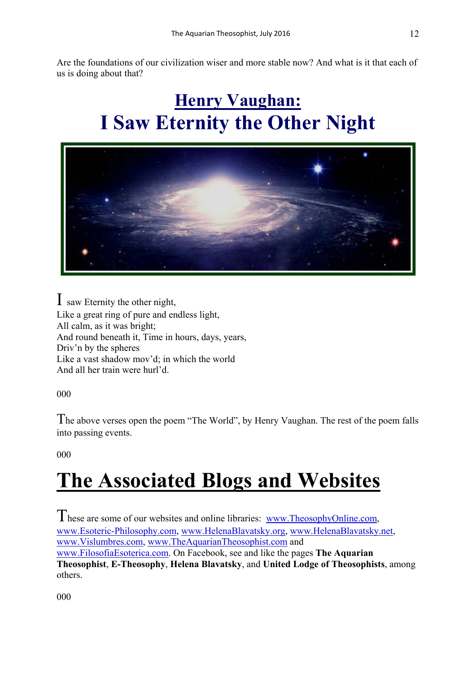Are the foundations of our civilization wiser and more stable now? And what is it that each of us is doing about that?

#### **Henry Vaughan: I Saw Eternity the Other Night**



I saw Eternity the other night, Like a great ring of pure and endless light, All calm, as it was bright; And round beneath it, Time in hours, days, years, Driv'n by the spheres Like a vast shadow mov'd; in which the world And all her train were hurl'd.

000

The above verses open the poem "The World", by Henry Vaughan. The rest of the poem falls into passing events.

000

## **The Associated Blogs and Websites**

These are some of our websites and online libraries: [www.TheosophyOnline.com,](http://www.theosophyonline.com/) [www.Esoteric-Philosophy.com,](http://www.esoteric-philosophy.com/) [www.HelenaBlavatsky.org,](http://www.helenablavatsky.org/) [www.HelenaBlavatsky.net,](http://www.helenablavatsky.net/) [www.Vislumbres.com,](http://www.vislumbres.com/) [www.TheAquarianTheosophist.com](http://www.theaquariantheosophist.com/) and [www.FilosofiaEsoterica.com.](http://www.filosofiaesoterica.com/) On Facebook, see and like the pages **The Aquarian Theosophist**, **E-Theosophy**, **Helena Blavatsky**, and **United Lodge of Theosophists**, among others.

000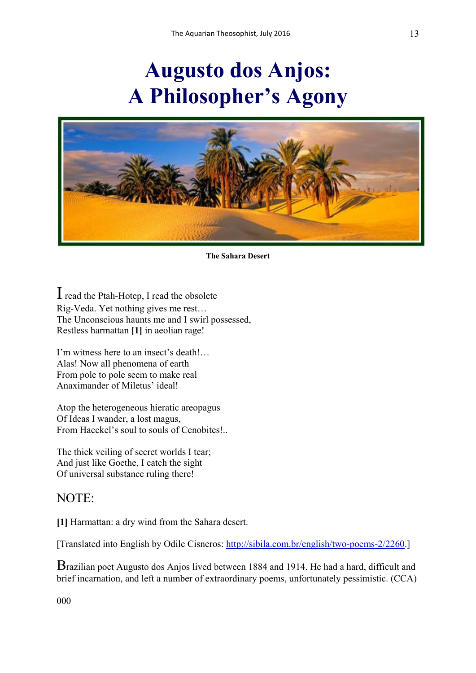# **Augusto dos Anjos: A Philosopher's Agony**



#### **The Sahara Desert**

 $\Gamma$  read the Ptah-Hotep, I read the obsolete Rig-Veda. Yet nothing gives me rest… The Unconscious haunts me and I swirl possessed, Restless harmattan **[1]** in aeolian rage!

I'm witness here to an insect's death!… Alas! Now all phenomena of earth From pole to pole seem to make real Anaximander of Miletus' ideal!

Atop the heterogeneous hieratic areopagus Of Ideas I wander, a lost magus, From Haeckel's soul to souls of Cenobites!..

The thick veiling of secret worlds I tear; And just like Goethe, I catch the sight Of universal substance ruling there!

#### NOTE:

**[1]** Harmattan: a dry wind from the Sahara desert.

[Translated into English by Odile Cisneros: [http://sibila.com.br/english/two-poems-2/2260.](http://sibila.com.br/english/two-poems-2/2260)]

Brazilian poet Augusto dos Anjos lived between 1884 and 1914. He had a hard, difficult and brief incarnation, and left a number of extraordinary poems, unfortunately pessimistic. (CCA)

000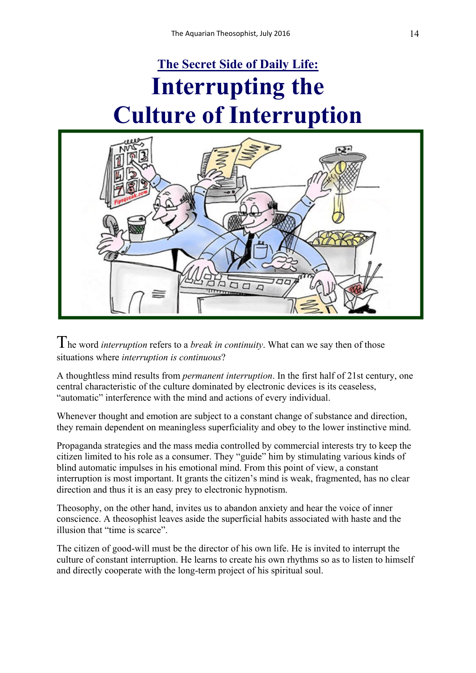



The word *interruption* refers to <sup>a</sup>*break in continuity*. What can we say then of those situations where *interruption is continuous*?

A thoughtless mind results from *permanent interruption*. In the first half of 21st century, one central characteristic of the culture dominated by electronic devices is its ceaseless, "automatic" interference with the mind and actions of every individual.

Whenever thought and emotion are subject to a constant change of substance and direction, they remain dependent on meaningless superficiality and obey to the lower instinctive mind.

Propaganda strategies and the mass media controlled by commercial interests try to keep the citizen limited to his role as a consumer. They "guide" him by stimulating various kinds of blind automatic impulses in his emotional mind. From this point of view, a constant interruption is most important. It grants the citizen's mind is weak, fragmented, has no clear direction and thus it is an easy prey to electronic hypnotism.

Theosophy, on the other hand, invites us to abandon anxiety and hear the voice of inner conscience. A theosophist leaves aside the superficial habits associated with haste and the illusion that "time is scarce".

The citizen of good-will must be the director of his own life. He is invited to interrupt the culture of constant interruption. He learns to create his own rhythms so as to listen to himself and directly cooperate with the long-term project of his spiritual soul.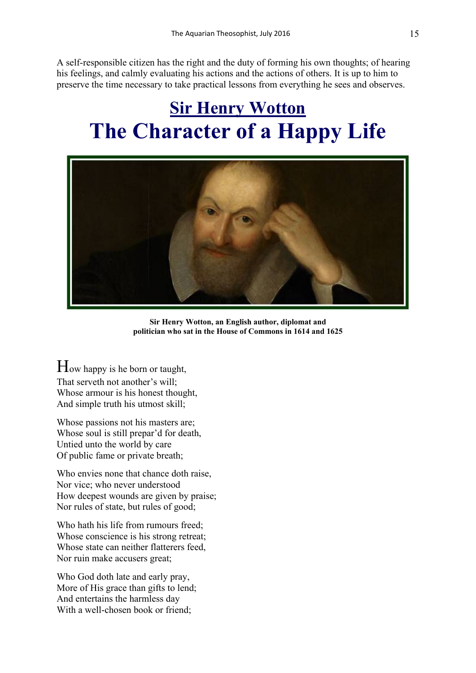A self-responsible citizen has the right and the duty of forming his own thoughts; of hearing his feelings, and calmly evaluating his actions and the actions of others. It is up to him to preserve the time necessary to take practical lessons from everything he sees and observes.

#### **Sir Henry Wotton The Character of a Happy Life**



**Sir Henry Wotton, an English author, diplomat and politician who sat in the House of Commons in 1614 and 1625**

How happy is he born or taught, That serveth not another's will; Whose armour is his honest thought, And simple truth his utmost skill;

Whose passions not his masters are; Whose soul is still prepar'd for death, Untied unto the world by care Of public fame or private breath;

Who envies none that chance doth raise, Nor vice; who never understood How deepest wounds are given by praise; Nor rules of state, but rules of good;

Who hath his life from rumours freed; Whose conscience is his strong retreat; Whose state can neither flatterers feed, Nor ruin make accusers great;

Who God doth late and early pray, More of His grace than gifts to lend; And entertains the harmless day With a well-chosen book or friend;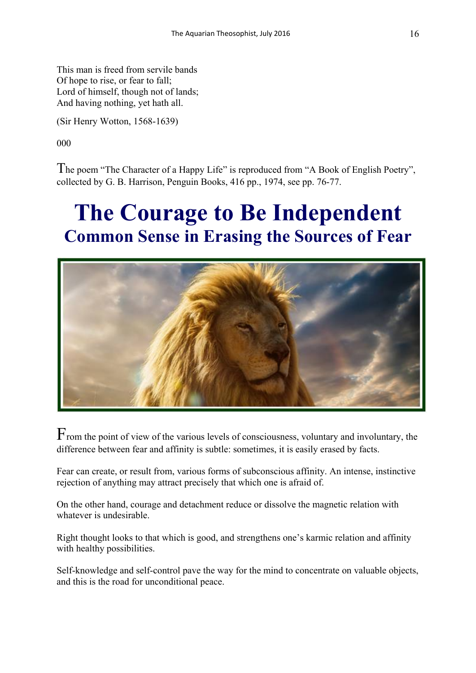This man is freed from servile bands Of hope to rise, or fear to fall; Lord of himself, though not of lands; And having nothing, yet hath all.

(Sir Henry Wotton, 1568-1639)

000

The poem "The Character of a Happy Life" is reproduced from "A Book of English Poetry", collected by G. B. Harrison, Penguin Books, 416 pp., 1974, see pp. 76-77.

### **The Courage to Be Independent Common Sense in Erasing the Sources of Fear**



 $F$ rom the point of view of the various levels of consciousness, voluntary and involuntary, the difference between fear and affinity is subtle: sometimes, it is easily erased by facts.

Fear can create, or result from, various forms of subconscious affinity. An intense, instinctive rejection of anything may attract precisely that which one is afraid of.

On the other hand, courage and detachment reduce or dissolve the magnetic relation with whatever is undesirable.

Right thought looks to that which is good, and strengthens one's karmic relation and affinity with healthy possibilities.

Self-knowledge and self-control pave the way for the mind to concentrate on valuable objects, and this is the road for unconditional peace.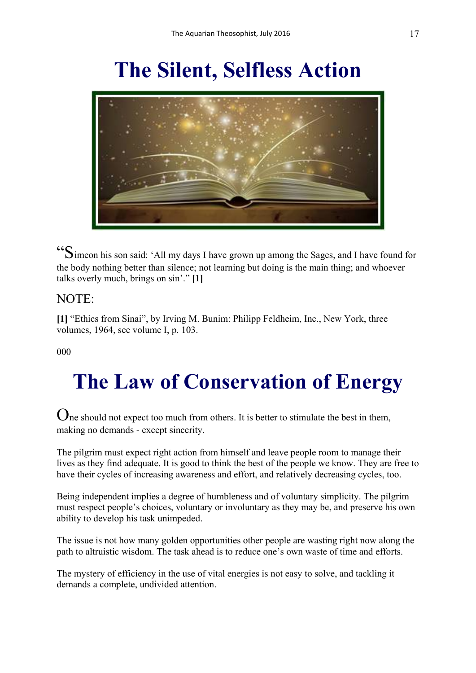# **The Silent, Selfless Action**



"Simeon his son said: 'All my days I have grown up among the Sages, and I have found for the body nothing better than silence; not learning but doing is the main thing; and whoever talks overly much, brings on sin'." **[1]**

#### NOTE:

**[1]** "Ethics from Sinai", by Irving M. Bunim: Philipp Feldheim, Inc., New York, three volumes, 1964, see volume I, p. 103.

000

### **The Law of Conservation of Energy**

One should not expect too much from others. It is better to stimulate the best in them, making no demands - except sincerity.

The pilgrim must expect right action from himself and leave people room to manage their lives as they find adequate. It is good to think the best of the people we know. They are free to have their cycles of increasing awareness and effort, and relatively decreasing cycles, too.

Being independent implies a degree of humbleness and of voluntary simplicity. The pilgrim must respect people's choices, voluntary or involuntary as they may be, and preserve his own ability to develop his task unimpeded.

The issue is not how many golden opportunities other people are wasting right now along the path to altruistic wisdom. The task ahead is to reduce one's own waste of time and efforts.

The mystery of efficiency in the use of vital energies is not easy to solve, and tackling it demands a complete, undivided attention.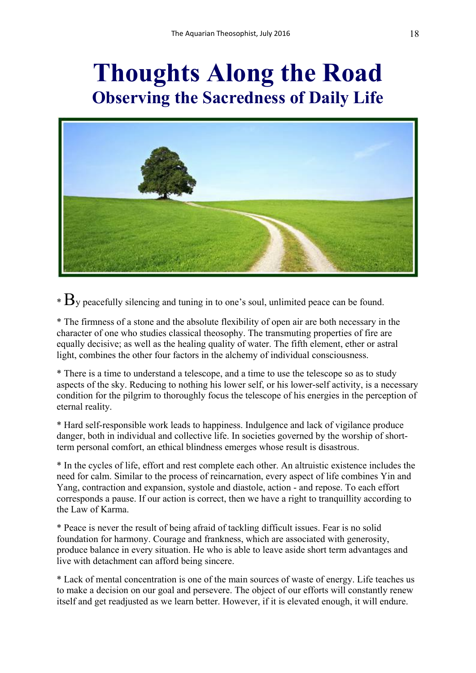### **Thoughts Along the Road Observing the Sacredness of Daily Life**



 $*$   $B_y$  peacefully silencing and tuning in to one's soul, unlimited peace can be found.

\* The firmness of a stone and the absolute flexibility of open air are both necessary in the character of one who studies classical theosophy. The transmuting properties of fire are equally decisive; as well as the healing quality of water. The fifth element, ether or astral light, combines the other four factors in the alchemy of individual consciousness.

\* There is a time to understand a telescope, and a time to use the telescope so as to study aspects of the sky. Reducing to nothing his lower self, or his lower-self activity, is a necessary condition for the pilgrim to thoroughly focus the telescope of his energies in the perception of eternal reality.

\* Hard self-responsible work leads to happiness. Indulgence and lack of vigilance produce danger, both in individual and collective life. In societies governed by the worship of shortterm personal comfort, an ethical blindness emerges whose result is disastrous.

\* In the cycles of life, effort and rest complete each other. An altruistic existence includes the need for calm. Similar to the process of reincarnation, every aspect of life combines Yin and Yang, contraction and expansion, systole and diastole, action - and repose. To each effort corresponds a pause. If our action is correct, then we have a right to tranquillity according to the Law of Karma.

\* Peace is never the result of being afraid of tackling difficult issues. Fear is no solid foundation for harmony. Courage and frankness, which are associated with generosity, produce balance in every situation. He who is able to leave aside short term advantages and live with detachment can afford being sincere.

\* Lack of mental concentration is one of the main sources of waste of energy. Life teaches us to make a decision on our goal and persevere. The object of our efforts will constantly renew itself and get readjusted as we learn better. However, if it is elevated enough, it will endure.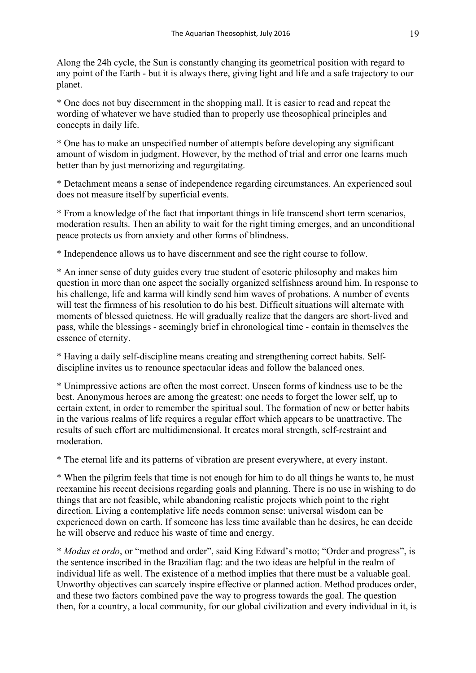Along the 24h cycle, the Sun is constantly changing its geometrical position with regard to any point of the Earth - but it is always there, giving light and life and a safe trajectory to our planet.

\* One does not buy discernment in the shopping mall. It is easier to read and repeat the wording of whatever we have studied than to properly use theosophical principles and concepts in daily life.

\* One has to make an unspecified number of attempts before developing any significant amount of wisdom in judgment. However, by the method of trial and error one learns much better than by just memorizing and regurgitating.

\* Detachment means a sense of independence regarding circumstances. An experienced soul does not measure itself by superficial events.

\* From a knowledge of the fact that important things in life transcend short term scenarios, moderation results. Then an ability to wait for the right timing emerges, and an unconditional peace protects us from anxiety and other forms of blindness.

\* Independence allows us to have discernment and see the right course to follow.

\* An inner sense of duty guides every true student of esoteric philosophy and makes him question in more than one aspect the socially organized selfishness around him. In response to his challenge, life and karma will kindly send him waves of probations. A number of events will test the firmness of his resolution to do his best. Difficult situations will alternate with moments of blessed quietness. He will gradually realize that the dangers are short-lived and pass, while the blessings - seemingly brief in chronological time - contain in themselves the essence of eternity.

\* Having a daily self-discipline means creating and strengthening correct habits. Selfdiscipline invites us to renounce spectacular ideas and follow the balanced ones.

\* Unimpressive actions are often the most correct. Unseen forms of kindness use to be the best. Anonymous heroes are among the greatest: one needs to forget the lower self, up to certain extent, in order to remember the spiritual soul. The formation of new or better habits in the various realms of life requires a regular effort which appears to be unattractive. The results of such effort are multidimensional. It creates moral strength, self-restraint and moderation.

\* The eternal life and its patterns of vibration are present everywhere, at every instant.

\* When the pilgrim feels that time is not enough for him to do all things he wants to, he must reexamine his recent decisions regarding goals and planning. There is no use in wishing to do things that are not feasible, while abandoning realistic projects which point to the right direction. Living a contemplative life needs common sense: universal wisdom can be experienced down on earth. If someone has less time available than he desires, he can decide he will observe and reduce his waste of time and energy.

\* *Modus et ordo*, or "method and order", said King Edward's motto; "Order and progress", is the sentence inscribed in the Brazilian flag: and the two ideas are helpful in the realm of individual life as well. The existence of a method implies that there must be a valuable goal. Unworthy objectives can scarcely inspire effective or planned action. Method produces order, and these two factors combined pave the way to progress towards the goal. The question then, for a country, a local community, for our global civilization and every individual in it, is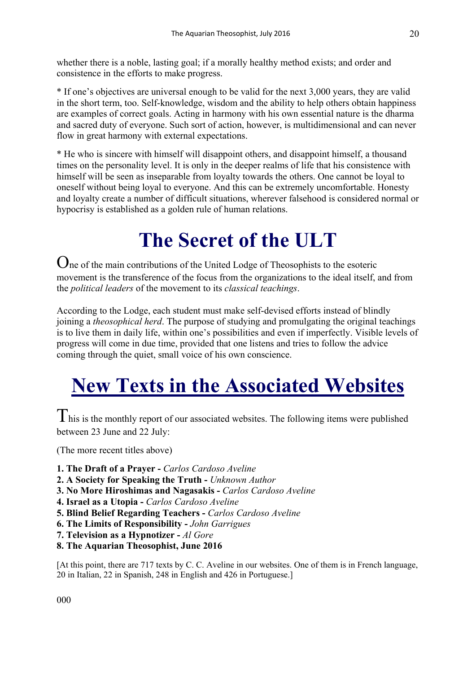whether there is a noble, lasting goal; if a morally healthy method exists; and order and consistence in the efforts to make progress.

\* If one's objectives are universal enough to be valid for the next 3,000 years, they are valid in the short term, too. Self-knowledge, wisdom and the ability to help others obtain happiness are examples of correct goals. Acting in harmony with his own essential nature is the dharma and sacred duty of everyone. Such sort of action, however, is multidimensional and can never flow in great harmony with external expectations.

\* He who is sincere with himself will disappoint others, and disappoint himself, a thousand times on the personality level. It is only in the deeper realms of life that his consistence with himself will be seen as inseparable from loyalty towards the others. One cannot be loyal to oneself without being loyal to everyone. And this can be extremely uncomfortable. Honesty and loyalty create a number of difficult situations, wherever falsehood is considered normal or hypocrisy is established as a golden rule of human relations.

### **The Secret of the ULT**

One of the main contributions of the United Lodge of Theosophists to the esoteric movement is the transference of the focus from the organizations to the ideal itself, and from the *political leaders* of the movement to its *classical teachings*.

According to the Lodge, each student must make self-devised efforts instead of blindly joining a *theosophical herd*. The purpose of studying and promulgating the original teachings is to live them in daily life, within one's possibilities and even if imperfectly. Visible levels of progress will come in due time, provided that one listens and tries to follow the advice coming through the quiet, small voice of his own conscience.

### **New Texts in the Associated Websites**

This is the monthly report of our associated websites. The following items were published between 23 June and 22 July:

(The more recent titles above)

- **1. The Draft of a Prayer -** *Carlos Cardoso Aveline*
- **2. A Society for Speaking the Truth -** *Unknown Author*
- **3. No More Hiroshimas and Nagasakis -** *Carlos Cardoso Aveline*
- **4. Israel as a Utopia -** *Carlos Cardoso Aveline*
- **5. Blind Belief Regarding Teachers -** *Carlos Cardoso Aveline*
- **6. The Limits of Responsibility -** *John Garrigues*
- **7. Television as a Hypnotizer -** *Al Gore*
- **8. The Aquarian Theosophist, June 2016**

[At this point, there are 717 texts by C. C. Aveline in our websites. One of them is in French language, 20 in Italian, 22 in Spanish, 248 in English and 426 in Portuguese.]